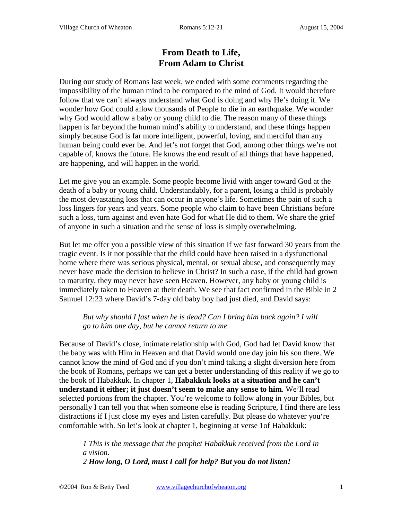# **From Death to Life, From Adam to Christ**

During our study of Romans last week, we ended with some comments regarding the impossibility of the human mind to be compared to the mind of God. It would therefore follow that we can't always understand what God is doing and why He's doing it. We wonder how God could allow thousands of People to die in an earthquake. We wonder why God would allow a baby or young child to die. The reason many of these things happen is far beyond the human mind's ability to understand, and these things happen simply because God is far more intelligent, powerful, loving, and merciful than any human being could ever be. And let's not forget that God, among other things we're not capable of, knows the future. He knows the end result of all things that have happened, are happening, and will happen in the world.

Let me give you an example. Some people become livid with anger toward God at the death of a baby or young child. Understandably, for a parent, losing a child is probably the most devastating loss that can occur in anyone's life. Sometimes the pain of such a loss lingers for years and years. Some people who claim to have been Christians before such a loss, turn against and even hate God for what He did to them. We share the grief of anyone in such a situation and the sense of loss is simply overwhelming.

But let me offer you a possible view of this situation if we fast forward 30 years from the tragic event. Is it not possible that the child could have been raised in a dysfunctional home where there was serious physical, mental, or sexual abuse, and consequently may never have made the decision to believe in Christ? In such a case, if the child had grown to maturity, they may never have seen Heaven. However, any baby or young child is immediately taken to Heaven at their death. We see that fact confirmed in the Bible in 2 Samuel 12:23 where David's 7-day old baby boy had just died, and David says:

*But why should I fast when he is dead? Can I bring him back again? I will go to him one day, but he cannot return to me.*

Because of David's close, intimate relationship with God, God had let David know that the baby was with Him in Heaven and that David would one day join his son there. We cannot know the mind of God and if you don't mind taking a slight diversion here from the book of Romans, perhaps we can get a better understanding of this reality if we go to the book of Habakkuk. In chapter 1, **Habakkuk looks at a situation and he can't understand it either; it just doesn't seem to make any sense to him**. We'll read selected portions from the chapter. You're welcome to follow along in your Bibles, but personally I can tell you that when someone else is reading Scripture, I find there are less distractions if I just close my eyes and listen carefully. But please do whatever you're comfortable with. So let's look at chapter 1, beginning at verse 1of Habakkuk:

*1 This is the message that the prophet Habakkuk received from the Lord in a vision. 2 How long, O Lord, must I call for help? But you do not listen!*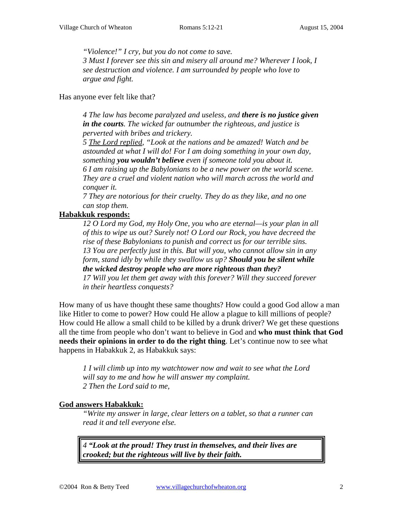*"Violence!" I cry, but you do not come to save. 3 Must I forever see this sin and misery all around me? Wherever I look, I* 

*see destruction and violence. I am surrounded by people who love to argue and fight.* 

Has anyone ever felt like that?

*4 The law has become paralyzed and useless, and there is no justice given in the courts. The wicked far outnumber the righteous, and justice is perverted with bribes and trickery.* 

*5 The Lord replied, "Look at the nations and be amazed! Watch and be astounded at what I will do! For I am doing something in your own day, something you wouldn't believe even if someone told you about it.* 

*6 I am raising up the Babylonians to be a new power on the world scene. They are a cruel and violent nation who will march across the world and conquer it.* 

*7 They are notorious for their cruelty. They do as they like, and no one can stop them.* 

### **Habakkuk responds:**

*12 O Lord my God, my Holy One, you who are eternal—is your plan in all of this to wipe us out? Surely not! O Lord our Rock, you have decreed the rise of these Babylonians to punish and correct us for our terrible sins. 13 You are perfectly just in this. But will you, who cannot allow sin in any form, stand idly by while they swallow us up? Should you be silent while the wicked destroy people who are more righteous than they? 17 Will you let them get away with this forever? Will they succeed forever in their heartless conquests?* 

How many of us have thought these same thoughts? How could a good God allow a man like Hitler to come to power? How could He allow a plague to kill millions of people? How could He allow a small child to be killed by a drunk driver? We get these questions all the time from people who don't want to believe in God and **who must think that God needs their opinions in order to do the right thing**. Let's continue now to see what happens in Habakkuk 2, as Habakkuk says:

*1 I will climb up into my watchtower now and wait to see what the Lord will say to me and how he will answer my complaint. 2 Then the Lord said to me,* 

### **God answers Habakkuk:**

*"Write my answer in large, clear letters on a tablet, so that a runner can read it and tell everyone else.* 

*4 "Look at the proud! They trust in themselves, and their lives are crooked; but the righteous will live by their faith.*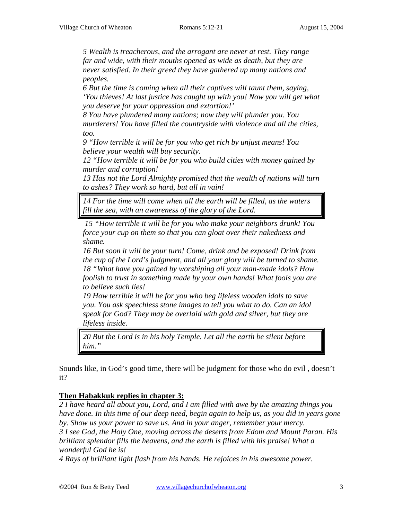*5 Wealth is treacherous, and the arrogant are never at rest. They range far and wide, with their mouths opened as wide as death, but they are never satisfied. In their greed they have gathered up many nations and peoples.* 

*6 But the time is coming when all their captives will taunt them, saying, 'You thieves! At last justice has caught up with you! Now you will get what you deserve for your oppression and extortion!'* 

*8 You have plundered many nations; now they will plunder you. You murderers! You have filled the countryside with violence and all the cities, too.* 

*9 "How terrible it will be for you who get rich by unjust means! You believe your wealth will buy security.* 

*12 "How terrible it will be for you who build cities with money gained by murder and corruption!* 

*13 Has not the Lord Almighty promised that the wealth of nations will turn to ashes? They work so hard, but all in vain!* 

*14 For the time will come when all the earth will be filled, as the waters fill the sea, with an awareness of the glory of the Lord.*

*15 "How terrible it will be for you who make your neighbors drunk! You force your cup on them so that you can gloat over their nakedness and shame.* 

*16 But soon it will be your turn! Come, drink and be exposed! Drink from the cup of the Lord's judgment, and all your glory will be turned to shame. 18 "What have you gained by worshiping all your man-made idols? How foolish to trust in something made by your own hands! What fools you are to believe such lies!* 

*19 How terrible it will be for you who beg lifeless wooden idols to save you. You ask speechless stone images to tell you what to do. Can an idol speak for God? They may be overlaid with gold and silver, but they are lifeless inside.* 

*20 But the Lord is in his holy Temple. Let all the earth be silent before him."* 

Sounds like, in God's good time, there will be judgment for those who do evil , doesn't it?

## **Then Habakkuk replies in chapter 3:**

*2 I have heard all about you, Lord, and I am filled with awe by the amazing things you have done. In this time of our deep need, begin again to help us, as you did in years gone by. Show us your power to save us. And in your anger, remember your mercy. 3 I see God, the Holy One, moving across the deserts from Edom and Mount Paran. His brilliant splendor fills the heavens, and the earth is filled with his praise! What a wonderful God he is!* 

*4 Rays of brilliant light flash from his hands. He rejoices in his awesome power.*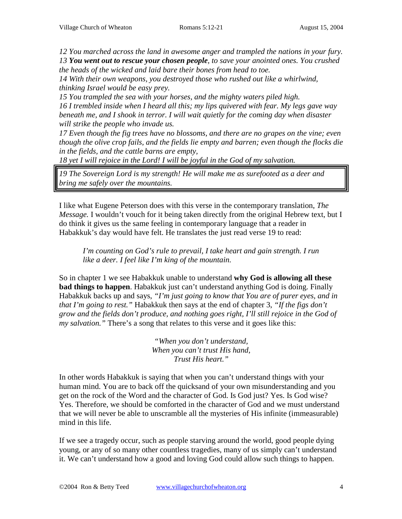*12 You marched across the land in awesome anger and trampled the nations in your fury. 13 You went out to rescue your chosen people, to save your anointed ones. You crushed the heads of the wicked and laid bare their bones from head to toe.* 

*14 With their own weapons, you destroyed those who rushed out like a whirlwind, thinking Israel would be easy prey.* 

*15 You trampled the sea with your horses, and the mighty waters piled high. 16 I trembled inside when I heard all this; my lips quivered with fear. My legs gave way beneath me, and I shook in terror. I will wait quietly for the coming day when disaster will strike the people who invade us.* 

*17 Even though the fig trees have no blossoms, and there are no grapes on the vine; even though the olive crop fails, and the fields lie empty and barren; even though the flocks die in the fields, and the cattle barns are empty,* 

*18 yet I will rejoice in the Lord! I will be joyful in the God of my salvation.* 

*19 The Sovereign Lord is my strength! He will make me as surefooted as a deer and bring me safely over the mountains.* 

I like what Eugene Peterson does with this verse in the contemporary translation, *The Message.* I wouldn't vouch for it being taken directly from the original Hebrew text, but I do think it gives us the same feeling in contemporary language that a reader in Habakkuk's day would have felt. He translates the just read verse 19 to read:

*I'm counting on God's rule to prevail, I take heart and gain strength. I run like a deer. I feel like I'm king of the mountain.*

So in chapter 1 we see Habakkuk unable to understand **why God is allowing all these bad things to happen**. Habakkuk just can't understand anything God is doing. Finally Habakkuk backs up and says, *"I'm just going to know that You are of purer eyes, and in that I'm going to rest."* Habakkuk then says at the end of chapter 3, *"If the figs don't grow and the fields don't produce, and nothing goes right, I'll still rejoice in the God of my salvation."* There's a song that relates to this verse and it goes like this:

> *"When you don't understand, When you can't trust His hand, Trust His heart."*

In other words Habakkuk is saying that when you can't understand things with your human mind. You are to back off the quicksand of your own misunderstanding and you get on the rock of the Word and the character of God. Is God just? Yes. Is God wise? Yes. Therefore, we should be comforted in the character of God and we must understand that we will never be able to unscramble all the mysteries of His infinite (immeasurable) mind in this life.

If we see a tragedy occur, such as people starving around the world, good people dying young, or any of so many other countless tragedies, many of us simply can't understand it. We can't understand how a good and loving God could allow such things to happen.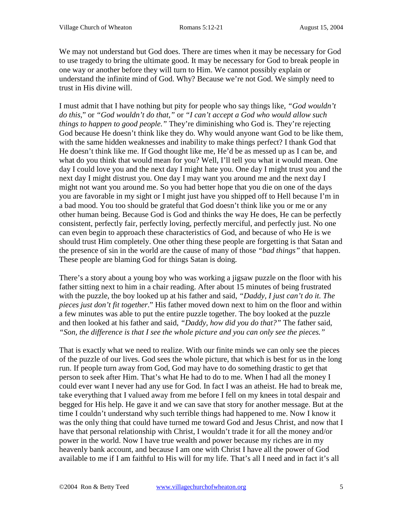We may not understand but God does. There are times when it may be necessary for God to use tragedy to bring the ultimate good. It may be necessary for God to break people in one way or another before they will turn to Him. We cannot possibly explain or understand the infinite mind of God. Why? Because we're not God. We simply need to trust in His divine will.

I must admit that I have nothing but pity for people who say things like, *"God wouldn't do this*," or *"God wouldn't do that,"* or *"I can't accept a God who would allow such things to happen to good people."* They're diminishing who God is. They're rejecting God because He doesn't think like they do. Why would anyone want God to be like them, with the same hidden weaknesses and inability to make things perfect? I thank God that He doesn't think like me. If God thought like me, He'd be as messed up as I can be, and what do you think that would mean for you? Well, I'll tell you what it would mean. One day I could love you and the next day I might hate you. One day I might trust you and the next day I might distrust you. One day I may want you around me and the next day I might not want you around me. So you had better hope that you die on one of the days you are favorable in my sight or I might just have you shipped off to Hell because I'm in a bad mood. You too should be grateful that God doesn't think like you or me or any other human being. Because God is God and thinks the way He does, He can be perfectly consistent, perfectly fair, perfectly loving, perfectly merciful, and perfectly just. No one can even begin to approach these characteristics of God, and because of who He is we should trust Him completely. One other thing these people are forgetting is that Satan and the presence of sin in the world are the cause of many of those *"bad things"* that happen. These people are blaming God for things Satan is doing.

There's a story about a young boy who was working a jigsaw puzzle on the floor with his father sitting next to him in a chair reading. After about 15 minutes of being frustrated with the puzzle, the boy looked up at his father and said, *"Daddy, I just can't do it. The pieces just don't fit together*." His father moved down next to him on the floor and within a few minutes was able to put the entire puzzle together. The boy looked at the puzzle and then looked at his father and said, *"Daddy, how did you do that?"* The father said, *"Son, the difference is that I see the whole picture and you can only see the pieces."*

That is exactly what we need to realize. With our finite minds we can only see the pieces of the puzzle of our lives. God sees the whole picture, that which is best for us in the long run. If people turn away from God, God may have to do something drastic to get that person to seek after Him. That's what He had to do to me. When I had all the money I could ever want I never had any use for God. In fact I was an atheist. He had to break me, take everything that I valued away from me before I fell on my knees in total despair and begged for His help. He gave it and we can save that story for another message. But at the time I couldn't understand why such terrible things had happened to me. Now I know it was the only thing that could have turned me toward God and Jesus Christ, and now that I have that personal relationship with Christ, I wouldn't trade it for all the money and/or power in the world. Now I have true wealth and power because my riches are in my heavenly bank account, and because I am one with Christ I have all the power of God available to me if I am faithful to His will for my life. That's all I need and in fact it's all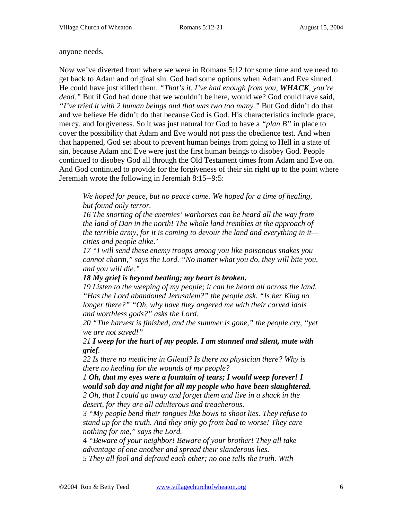#### anyone needs.

Now we've diverted from where we were in Romans 5:12 for some time and we need to get back to Adam and original sin. God had some options when Adam and Eve sinned. He could have just killed them. *"That's it, I've had enough from you, WHACK, you're dead."* But if God had done that we wouldn't be here, would we? God could have said, *"I've tried it with 2 human beings and that was two too many."* But God didn't do that and we believe He didn't do that because God is God. His characteristics include grace, mercy, and forgiveness. So it was just natural for God to have a *"plan B"* in place to cover the possibility that Adam and Eve would not pass the obedience test. And when that happened, God set about to prevent human beings from going to Hell in a state of sin, because Adam and Eve were just the first human beings to disobey God. People continued to disobey God all through the Old Testament times from Adam and Eve on. And God continued to provide for the forgiveness of their sin right up to the point where Jeremiah wrote the following in Jeremiah 8:15--9:5:

*We hoped for peace, but no peace came. We hoped for a time of healing, but found only terror.* 

*16 The snorting of the enemies' warhorses can be heard all the way from the land of Dan in the north! The whole land trembles at the approach of the terrible army, for it is coming to devour the land and everything in it cities and people alike.'* 

*17 "I will send these enemy troops among you like poisonous snakes you cannot charm," says the Lord. "No matter what you do, they will bite you, and you will die."* 

### *18 My grief is beyond healing; my heart is broken.*

*19 Listen to the weeping of my people; it can be heard all across the land. "Has the Lord abandoned Jerusalem?" the people ask. "Is her King no longer there?" "Oh, why have they angered me with their carved idols and worthless gods?" asks the Lord.* 

*20 "The harvest is finished, and the summer is gone," the people cry, "yet we are not saved!"* 

*21 I weep for the hurt of my people. I am stunned and silent, mute with grief.* 

*22 Is there no medicine in Gilead? Is there no physician there? Why is there no healing for the wounds of my people?* 

*1 Oh, that my eyes were a fountain of tears; I would weep forever! I would sob day and night for all my people who have been slaughtered. 2 Oh, that I could go away and forget them and live in a shack in the desert, for they are all adulterous and treacherous.* 

*3 "My people bend their tongues like bows to shoot lies. They refuse to stand up for the truth. And they only go from bad to worse! They care nothing for me," says the Lord.* 

*4 "Beware of your neighbor! Beware of your brother! They all take advantage of one another and spread their slanderous lies. 5 They all fool and defraud each other; no one tells the truth. With*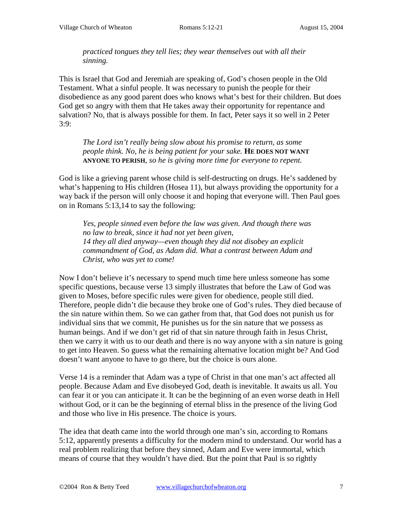*practiced tongues they tell lies; they wear themselves out with all their sinning.* 

This is Israel that God and Jeremiah are speaking of, God's chosen people in the Old Testament. What a sinful people. It was necessary to punish the people for their disobedience as any good parent does who knows what's best for their children. But does God get so angry with them that He takes away their opportunity for repentance and salvation? No, that is always possible for them. In fact, Peter says it so well in 2 Peter 3:9:

*The Lord isn't really being slow about his promise to return, as some people think. No, he is being patient for your sake.* **HE DOES NOT WANT ANYONE TO PERISH***, so he is giving more time for everyone to repent.* 

God is like a grieving parent whose child is self-destructing on drugs. He's saddened by what's happening to His children (Hosea 11), but always providing the opportunity for a way back if the person will only choose it and hoping that everyone will. Then Paul goes on in Romans 5:13,14 to say the following:

*Yes, people sinned even before the law was given. And though there was no law to break, since it had not yet been given, 14 they all died anyway—even though they did not disobey an explicit commandment of God, as Adam did. What a contrast between Adam and Christ, who was yet to come!* 

Now I don't believe it's necessary to spend much time here unless someone has some specific questions, because verse 13 simply illustrates that before the Law of God was given to Moses, before specific rules were given for obedience, people still died. Therefore, people didn't die because they broke one of God's rules. They died because of the sin nature within them. So we can gather from that, that God does not punish us for individual sins that we commit, He punishes us for the sin nature that we possess as human beings. And if we don't get rid of that sin nature through faith in Jesus Christ, then we carry it with us to our death and there is no way anyone with a sin nature is going to get into Heaven. So guess what the remaining alternative location might be? And God doesn't want anyone to have to go there, but the choice is ours alone.

Verse 14 is a reminder that Adam was a type of Christ in that one man's act affected all people. Because Adam and Eve disobeyed God, death is inevitable. It awaits us all. You can fear it or you can anticipate it. It can be the beginning of an even worse death in Hell without God, or it can be the beginning of eternal bliss in the presence of the living God and those who live in His presence. The choice is yours.

The idea that death came into the world through one man's sin, according to Romans 5:12, apparently presents a difficulty for the modern mind to understand. Our world has a real problem realizing that before they sinned, Adam and Eve were immortal, which means of course that they wouldn't have died. But the point that Paul is so rightly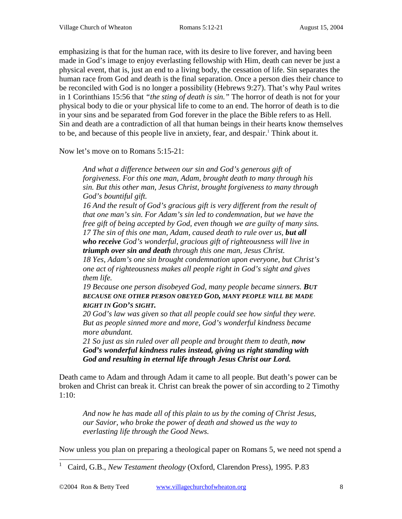emphasizing is that for the human race, with its desire to live forever, and having been made in God's image to enjoy everlasting fellowship with Him, death can never be just a physical event, that is, just an end to a living body, the cessation of life. Sin separates the human race from God and death is the final separation. Once a person dies their chance to be reconciled with God is no longer a possibility (Hebrews 9:27). That's why Paul writes in 1 Corinthians 15:56 that *"the sting of death is sin."* The horror of death is not for your physical body to die or your physical life to come to an end. The horror of death is to die in your sins and be separated from God forever in the place the Bible refers to as Hell. Sin and death are a contradiction of all that human beings in their hearts know themselves to be, and because of this people live in anxiety, fear, and despair.<sup>1</sup> Think about it.

Now let's move on to Romans 5:15-21:

*And what a difference between our sin and God's generous gift of forgiveness. For this one man, Adam, brought death to many through his sin. But this other man, Jesus Christ, brought forgiveness to many through God's bountiful gift.* 

*16 And the result of God's gracious gift is very different from the result of that one man's sin. For Adam's sin led to condemnation, but we have the free gift of being accepted by God, even though we are guilty of many sins.*  17 The sin of this one man, Adam, caused death to rule over us, but all *who receive God's wonderful, gracious gift of righteousness will live in triumph over sin and death through this one man, Jesus Christ.* 

*18 Yes, Adam's one sin brought condemnation upon everyone, but Christ's one act of righteousness makes all people right in God's sight and gives them life.* 

*19 Because one person disobeyed God, many people became sinners. BUT BECAUSE ONE OTHER PERSON OBEYED GOD, MANY PEOPLE WILL BE MADE RIGHT IN GOD'S SIGHT.*

*20 God's law was given so that all people could see how sinful they were. But as people sinned more and more, God's wonderful kindness became more abundant.* 

*21 So just as sin ruled over all people and brought them to death, now God's wonderful kindness rules instead, giving us right standing with God and resulting in eternal life through Jesus Christ our Lord.*

Death came to Adam and through Adam it came to all people. But death's power can be broken and Christ can break it. Christ can break the power of sin according to 2 Timothy 1:10:

*And now he has made all of this plain to us by the coming of Christ Jesus, our Savior, who broke the power of death and showed us the way to everlasting life through the Good News.* 

Now unless you plan on preparing a theological paper on Romans 5, we need not spend a

<sup>|&</sup>lt;br>| Caird, G.B., *New Testament theology* (Oxford, Clarendon Press), 1995. P.83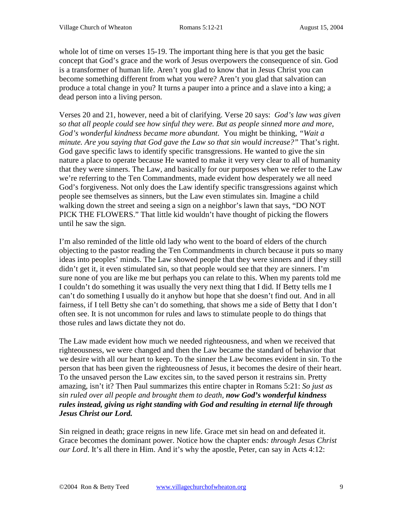whole lot of time on verses 15-19. The important thing here is that you get the basic concept that God's grace and the work of Jesus overpowers the consequence of sin. God is a transformer of human life. Aren't you glad to know that in Jesus Christ you can become something different from what you were? Aren't you glad that salvation can produce a total change in you? It turns a pauper into a prince and a slave into a king; a dead person into a living person.

Verses 20 and 21, however, need a bit of clarifying. Verse 20 says: *God's law was given so that all people could see how sinful they were. But as people sinned more and more, God's wonderful kindness became more abundant.* You might be thinking, *"Wait a minute. Are you saying that God gave the Law so that sin would increase?"* That's right. God gave specific laws to identify specific transgressions. He wanted to give the sin nature a place to operate because He wanted to make it very very clear to all of humanity that they were sinners. The Law, and basically for our purposes when we refer to the Law we're referring to the Ten Commandments, made evident how desperately we all need God's forgiveness. Not only does the Law identify specific transgressions against which people see themselves as sinners, but the Law even stimulates sin. Imagine a child walking down the street and seeing a sign on a neighbor's lawn that says, "DO NOT PICK THE FLOWERS." That little kid wouldn't have thought of picking the flowers until he saw the sign.

I'm also reminded of the little old lady who went to the board of elders of the church objecting to the pastor reading the Ten Commandments in church because it puts so many ideas into peoples' minds. The Law showed people that they were sinners and if they still didn't get it, it even stimulated sin, so that people would see that they are sinners. I'm sure none of you are like me but perhaps you can relate to this. When my parents told me I couldn't do something it was usually the very next thing that I did. If Betty tells me I can't do something I usually do it anyhow but hope that she doesn't find out. And in all fairness, if I tell Betty she can't do something, that shows me a side of Betty that I don't often see. It is not uncommon for rules and laws to stimulate people to do things that those rules and laws dictate they not do.

The Law made evident how much we needed righteousness, and when we received that righteousness, we were changed and then the Law became the standard of behavior that we desire with all our heart to keep. To the sinner the Law becomes evident in sin. To the person that has been given the righteousness of Jesus, it becomes the desire of their heart. To the unsaved person the Law excites sin, to the saved person it restrains sin. Pretty amazing, isn't it? Then Paul summarizes this entire chapter in Romans 5:21: *So just as sin ruled over all people and brought them to death, now God's wonderful kindness rules instead, giving us right standing with God and resulting in eternal life through Jesus Christ our Lord.*

Sin reigned in death; grace reigns in new life. Grace met sin head on and defeated it. Grace becomes the dominant power. Notice how the chapter ends*: through Jesus Christ our Lord*. It's all there in Him. And it's why the apostle, Peter, can say in Acts 4:12: